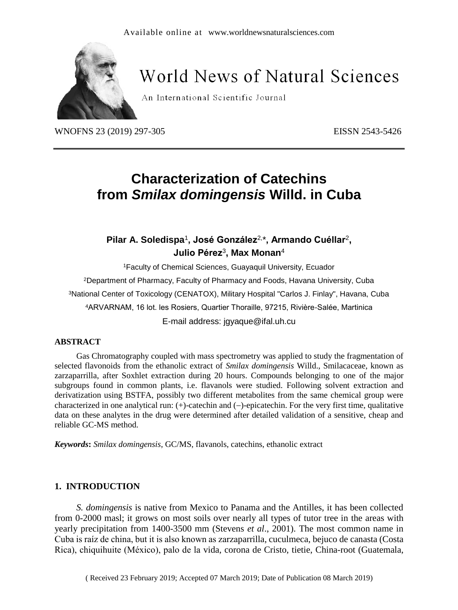

# **World News of Natural Sciences**

An International Scientific Journal

WNOFNS 23 (2019) 297-305 EISSN 2543-5426

# **Characterization of Catechins from** *Smilax domingensis* **Willd. in Cuba**

# Pilar A. Soledispa<sup>1</sup>, José González<sup>2,\*</sup>, Armando Cuéllar<sup>2</sup>, **Julio Pérez**<sup>3</sup> **, Max Monan**<sup>4</sup>

Faculty of Chemical Sciences, Guayaquil University, Ecuador Department of Pharmacy, Faculty of Pharmacy and Foods, Havana University, Cuba National Center of Toxicology (CENATOX), Military Hospital "Carlos J. Finlay", Havana, Cuba ARVARNAM, 16 lot. les Rosiers, Quartier Thoraille, 97215, Rivière-Salée, Martinica E-mail address: [jgyaque@ifal.uh.cu](mailto:jgyaque@ifal.uh.cu)

#### **ABSTRACT**

Gas Chromatography coupled with mass spectrometry was applied to study the fragmentation of selected flavonoids from the ethanolic extract of *Smilax domingensis* Willd., Smilacaceae, known as zarzaparrilla, after Soxhlet extraction during 20 hours. Compounds belonging to one of the major subgroups found in common plants, i.e. flavanols were studied. Following solvent extraction and derivatization using BSTFA, possibly two different metabolites from the same chemical group were characterized in one analytical run:  $(+)$ -catechin and  $(-)$ -epicatechin. For the very first time, qualitative data on these analytes in the drug were determined after detailed validation of a sensitive, cheap and reliable GC-MS method.

*Keywords***:** *Smilax domingensis*, GC/MS, flavanols, catechins, ethanolic extract

# **1. INTRODUCTION**

*S. domingensis* is native from Mexico to Panama and the Antilles, it has been collected from 0-2000 masl; it grows on most soils over nearly all types of tutor tree in the areas with yearly precipitation from 1400-3500 mm (Stevens *et al*., 2001). The most common name in Cuba is raíz de china, but it is also known as zarzaparrilla, cuculmeca, bejuco de canasta (Costa Rica), chiquihuite (México), palo de la vida, corona de Cristo, tietie, China-root (Guatemala,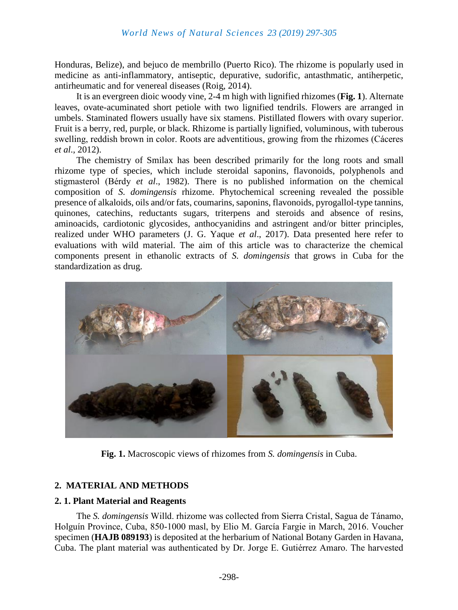Honduras, Belize), and bejuco de membrillo (Puerto Rico). The rhizome is popularly used in medicine as anti-inflammatory, antiseptic, depurative, sudorific, antasthmatic, antiherpetic, antirheumatic and for venereal diseases (Roig, 2014).

It is an evergreen dioic woody vine, 2-4 m high with lignified rhizomes (**Fig. 1**). Alternate leaves, ovate-acuminated short petiole with two lignified tendrils. Flowers are arranged in umbels. Staminated flowers usually have six stamens. Pistillated flowers with ovary superior. Fruit is a berry, red, purple, or black. Rhizome is partially lignified, voluminous, with tuberous swelling, reddish brown in color. Roots are adventitious, growing from the rhizomes (Cáceres *et al*., 2012).

The chemistry of Smilax has been described primarily for the long roots and small rhizome type of species, which include steroidal saponins, flavonoids, polyphenols and stigmasterol (Bérdy *et al*., 1982). There is no published information on the chemical composition of *S. domingensis* rhizome. Phytochemical screening revealed the possible presence of alkaloids, oils and/or fats, coumarins, saponins, flavonoids, pyrogallol-type tannins, quinones, catechins, reductants sugars, triterpens and steroids and absence of resins, aminoacids, cardiotonic glycosides, anthocyanidins and astringent and/or bitter principles, realized under WHO parameters (J. G. Yaque *et al*., 2017). Data presented here refer to evaluations with wild material. The aim of this article was to characterize the chemical components present in ethanolic extracts of *S. domingensis* that grows in Cuba for the standardization as drug.



**Fig. 1.** Macroscopic views of rhizomes from *S. domingensis* in Cuba.

# **2. MATERIAL AND METHODS**

#### **2. 1. Plant Material and Reagents**

The *S. domingensis* Willd. rhizome was collected from Sierra Cristal, Sagua de Tánamo, Holguín Province, Cuba, 850-1000 masl, by Elio M. García Fargie in March, 2016. Voucher specimen (**HAJB 089193**) is deposited at the herbarium of National Botany Garden in Havana, Cuba. The plant material was authenticated by Dr. Jorge E. Gutiérrez Amaro. The harvested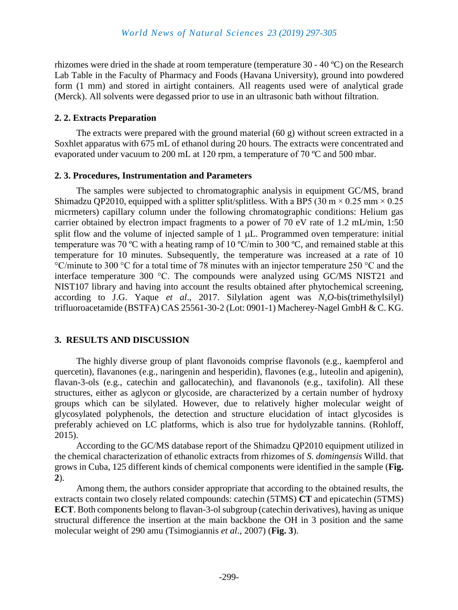rhizomes were dried in the shade at room temperature (temperature 30 - 40 ºC) on the Research Lab Table in the Faculty of Pharmacy and Foods (Havana University), ground into powdered form (1 mm) and stored in airtight containers. All reagents used were of analytical grade (Merck). All solvents were degassed prior to use in an ultrasonic bath without filtration.

# **2. 2. Extracts Preparation**

The extracts were prepared with the ground material (60 g) without screen extracted in a Soxhlet apparatus with 675 mL of ethanol during 20 hours. The extracts were concentrated and evaporated under vacuum to 200 mL at 120 rpm, a temperature of 70 ºC and 500 mbar.

# **2. 3. Procedures, Instrumentation and Parameters**

The samples were subjected to chromatographic analysis in equipment GC/MS, brand Shimadzu QP2010, equipped with a splitter split/splitless. With a BP5 (30 m  $\times$  0.25 mm  $\times$  0.25 micrmeters) capillary column under the following chromatographic conditions: Helium gas carrier obtained by electron impact fragments to a power of 70 eV rate of 1.2 mL/min, 1:50 split flow and the volume of injected sample of  $1 \mu L$ . Programmed oven temperature: initial temperature was 70 ºC with a heating ramp of 10 ºC/min to 300 ºC, and remained stable at this temperature for 10 minutes. Subsequently, the temperature was increased at a rate of 10 °C/minute to 300 °C for a total time of 78 minutes with an injector temperature 250 °C and the interface temperature 300 °C. The compounds were analyzed using GC/MS NIST21 and NIST107 library and having into account the results obtained after phytochemical screening, according to J.G. Yaque *et al*., 2017. Silylation agent was *N,O*-bis(trimethylsilyl) trifluoroacetamide (BSTFA) CAS 25561-30-2 (Lot: 0901-1) Macherey-Nagel GmbH & C. KG.

# **3. RESULTS AND DISCUSSION**

The highly diverse group of plant flavonoids comprise flavonols (e.g., kaempferol and quercetin), flavanones (e.g., naringenin and hesperidin), flavones (e.g., luteolin and apigenin), flavan-3-ols (e.g., catechin and gallocatechin), and flavanonols (e.g., taxifolin). All these structures, either as aglycon or glycoside, are characterized by a certain number of hydroxy groups which can be silylated. However, due to relatively higher molecular weight of glycosylated polyphenols, the detection and structure elucidation of intact glycosides is preferably achieved on LC platforms, which is also true for hydolyzable tannins. (Rohloff, 2015).

According to the GC/MS database report of the Shimadzu QP2010 equipment utilized in the chemical characterization of ethanolic extracts from rhizomes of *S. domingensis* Willd. that grows in Cuba, 125 different kinds of chemical components were identified in the sample (**Fig. 2**).

Among them, the authors consider appropriate that according to the obtained results, the extracts contain two closely related compounds: catechin (5TMS) **CT** and epicatechin (5TMS) **ECT**. Both components belong to flavan-3-ol subgroup (catechin derivatives), having as unique structural difference the insertion at the main backbone the OH in 3 position and the same molecular weight of 290 amu (Tsimogiannis *et al*., 2007) (**Fig. 3**).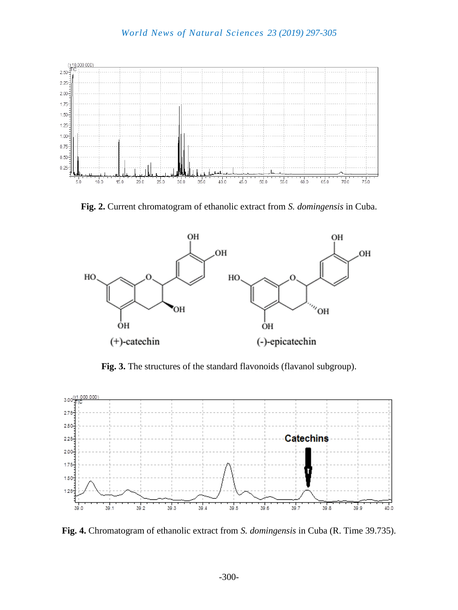

**Fig. 2.** Current chromatogram of ethanolic extract from *S. domingensis* in Cuba.



**Fig. 3.** The structures of the standard flavonoids (flavanol subgroup).



**Fig. 4.** Chromatogram of ethanolic extract from *S. domingensis* in Cuba (R. Time 39.735).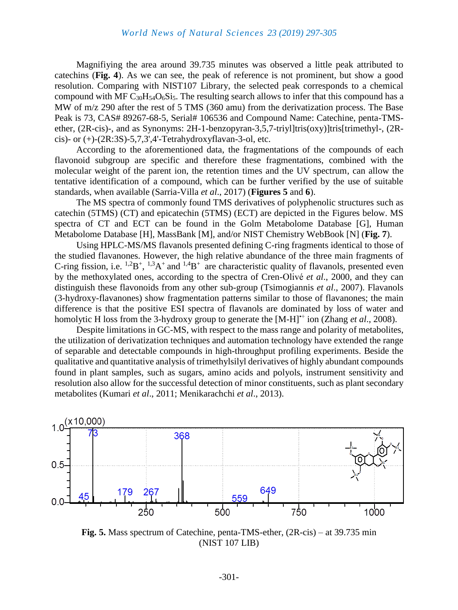Magnifiying the area around 39.735 minutes was observed a little peak attributed to catechins (**Fig. 4**). As we can see, the peak of reference is not prominent, but show a good resolution. Comparing with NIST107 Library, the selected peak corresponds to a chemical compound with MF  $C_{30}H_{54}O_6Si$ , The resulting search allows to infer that this compound has a MW of m/z 290 after the rest of 5 TMS (360 amu) from the derivatization process. The Base Peak is 73, CAS# 89267-68-5, Serial# 106536 and Compound Name: Catechine, penta-TMSether, (2R-cis)-, and as Synonyms: 2H-1-benzopyran-3,5,7-triyl]tris(oxy)]tris[trimethyl-, (2Rcis)- or  $(+)$ - $(2R:3S)$ -5,7,3',4'-Tetrahydroxyflavan-3-ol, etc.

According to the aforementioned data, the fragmentations of the compounds of each flavonoid subgroup are specific and therefore these fragmentations, combined with the molecular weight of the parent ion, the retention times and the UV spectrum, can allow the tentative identification of a compound, which can be further verified by the use of suitable standards, when available (Sarria-Villa *et al*., 2017) (**Figures 5** and **6**).

The MS spectra of commonly found TMS derivatives of polyphenolic structures such as catechin (5TMS) (CT) and epicatechin (5TMS) (ECT) are depicted in the Figures below. MS spectra of CT and ECT can be found in the Golm Metabolome Database [G], Human Metabolome Database [H], MassBank [M], and/or NIST Chemistry WebBook [N] (**Fig. 7**).

Using HPLC-MS/MS flavanols presented defining C-ring fragments identical to those of the studied flavanones. However, the high relative abundance of the three main fragments of C-ring fission, i.e.  $^{1,2}B^+$ ,  $^{1,3}A^+$  and  $^{1,4}B^+$  are characteristic quality of flavanols, presented even by the methoxylated ones, according to the spectra of Cren-Olivé *et al*., 2000, and they can distinguish these flavonoids from any other sub-group (Tsimogiannis *et al*., 2007). Flavanols (3-hydroxy-flavanones) show fragmentation patterns similar to those of flavanones; the main difference is that the positive ESI spectra of flavanols are dominated by loss of water and homolytic H loss from the 3-hydroxy group to generate the [M-H]<sup>++</sup> ion (Zhang *et al.*, 2008).

Despite limitations in GC-MS, with respect to the mass range and polarity of metabolites, the utilization of derivatization techniques and automation technology have extended the range of separable and detectable compounds in high-throughput profiling experiments. Beside the qualitative and quantitative analysis of trimethylsilyl derivatives of highly abundant compounds found in plant samples, such as sugars, amino acids and polyols, instrument sensitivity and resolution also allow for the successful detection of minor constituents, such as plant secondary metabolites (Kumari *et al*., 2011; Menikarachchi *et al*., 2013).



**Fig. 5.** Mass spectrum of Catechine, penta-TMS-ether, (2R-cis) – at 39.735 min (NIST 107 LIB)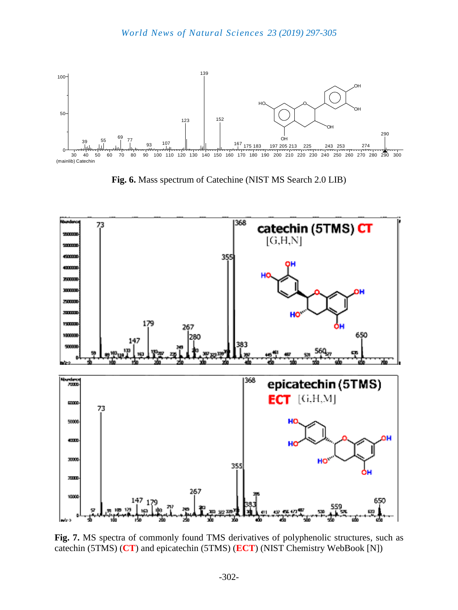

**Fig. 6.** Mass spectrum of Catechine (NIST MS Search 2.0 LIB)



**Fig. 7.** MS spectra of commonly found TMS derivatives of polyphenolic structures, such as catechin (5TMS) (**CT**) and epicatechin (5TMS) (**ECT**) (NIST Chemistry WebBook [N])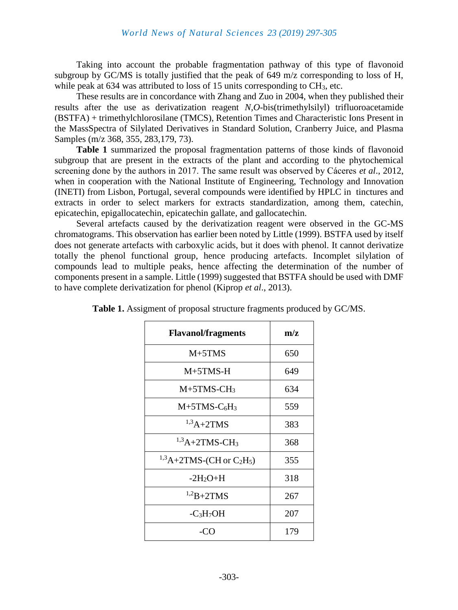Taking into account the probable fragmentation pathway of this type of flavonoid subgroup by GC/MS is totally justified that the peak of 649 m/z corresponding to loss of H, while peak at 634 was attributed to loss of 15 units corresponding to CH<sub>3</sub>, etc.

These results are in concordance with Zhang and Zuo in 2004, when they published their results after the use as derivatization reagent *N,O*-bis(trimethylsilyl) trifluoroacetamide (BSTFA) + trimethylchlorosilane (TMCS), Retention Times and Characteristic Ions Present in the MassSpectra of Silylated Derivatives in Standard Solution, Cranberry Juice, and Plasma Samples (m/z 368, 355, 283,179, 73).

**Table 1** summarized the proposal fragmentation patterns of those kinds of flavonoid subgroup that are present in the extracts of the plant and according to the phytochemical screening done by the authors in 2017. The same result was observed by Cáceres *et al*., 2012, when in cooperation with the National Institute of Engineering, Technology and Innovation (INETI) from Lisbon, Portugal, several compounds were identified by HPLC in tinctures and extracts in order to select markers for extracts standardization, among them, catechin, epicatechin, epigallocatechin, epicatechin gallate, and gallocatechin.

Several artefacts caused by the derivatization reagent were observed in the GC-MS chromatograms. This observation has earlier been noted by Little (1999). BSTFA used by itself does not generate artefacts with carboxylic acids, but it does with phenol. It cannot derivatize totally the phenol functional group, hence producing artefacts. Incomplet silylation of compounds lead to multiple peaks, hence affecting the determination of the number of components present in a sample. Little (1999) suggested that BSTFA should be used with DMF to have complete derivatization for phenol (Kiprop *et al*., 2013).

| <b>Flavanol/fragments</b>                              | m/z |
|--------------------------------------------------------|-----|
| $M+5$ TMS                                              | 650 |
| $M+5$ TMS-H                                            | 649 |
| $M+5$ TMS-CH <sub>3</sub>                              | 634 |
| $M+5$ TMS- $C_6H_3$                                    | 559 |
| $^{1,3}A+2TMS$                                         | 383 |
| $1,3A+2TMS-CH3$                                        | 368 |
| $^{1,3}A+2TMS$ -(CH or C <sub>2</sub> H <sub>5</sub> ) | 355 |
| $-2H_2O+H$                                             | 318 |
| $1.2B+2TMS$                                            | 267 |
| $-C3H7OH$                                              | 207 |
| -CO                                                    | 179 |

**Table 1.** Assigment of proposal structure fragments produced by GC/MS.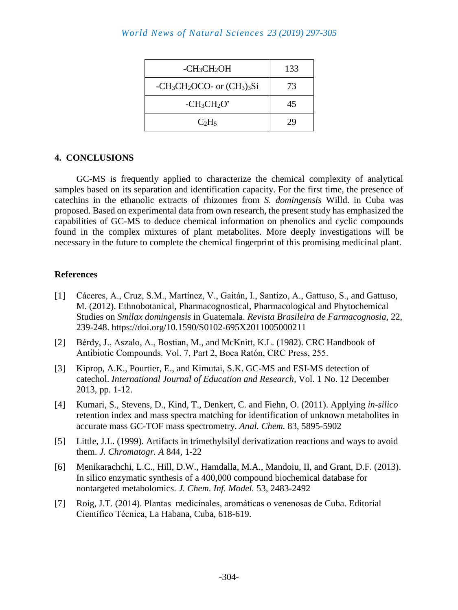# *World News of Natural Sciences 23 (2019) 297-305*

| $-CH3CH2OH$                                           | 133 |
|-------------------------------------------------------|-----|
| -CH <sub>3</sub> CH <sub>2</sub> OCO- or $(CH_3)_3Si$ | 73  |
| $-CH3CH2O'$                                           | 45  |
| $C_2H_5$                                              | 79  |

# **4. CONCLUSIONS**

GC-MS is frequently applied to characterize the chemical complexity of analytical samples based on its separation and identification capacity. For the first time, the presence of catechins in the ethanolic extracts of rhizomes from *S. domingensis* Willd. in Cuba was proposed. Based on experimental data from own research, the present study has emphasized the capabilities of GC-MS to deduce chemical information on phenolics and cyclic compounds found in the complex mixtures of plant metabolites. More deeply investigations will be necessary in the future to complete the chemical fingerprint of this promising medicinal plant.

# **References**

- [1] Cáceres, A., Cruz, S.M., Martínez, V., Gaitán, I., Santizo, A., Gattuso, S., and Gattuso, M. (2012). Ethnobotanical, Pharmacognostical, Pharmacological and Phytochemical Studies on *Smilax domingensis* in Guatemala. *Revista Brasileira de Farmacognosia,* 22, 239-248.<https://doi.org/10.1590/S0102-695X2011005000211>
- [2] Bérdy, J., Aszalo, A., Bostian, M., and McKnitt, K.L. (1982). CRC Handbook of Antibiotic Compounds. Vol. 7, Part 2, Boca Ratón, CRC Press, 255.
- [3] Kiprop, A.K., Pourtier, E., and Kimutai, S.K. GC-MS and ESI-MS detection of catechol. *International Journal of Education and Research,* Vol. 1 No. 12 December 2013, pp. 1-12.
- [4] Kumari, S., Stevens, D., Kind, T., Denkert, C. and Fiehn, O. (2011). Applying *in-silico* retention index and mass spectra matching for identification of unknown metabolites in accurate mass GC-TOF mass spectrometry. *Anal. Chem.* 83, 5895-5902
- [5] Little, J.L. (1999). Artifacts in trimethylsilyl derivatization reactions and ways to avoid them. *J. Chromatogr. A* 844, 1-22
- [6] Menikarachchi, L.C., Hill, D.W., Hamdalla, M.A., Mandoiu, II, and Grant, D.F. (2013). In silico enzymatic synthesis of a 400,000 compound biochemical database for nontargeted metabolomics. *J. Chem. Inf. Model.* 53, 2483-2492
- [7] Roig, J.T. (2014). Plantas medicinales, aromáticas o venenosas de Cuba. Editorial Científico Técnica, La Habana, Cuba, 618-619.